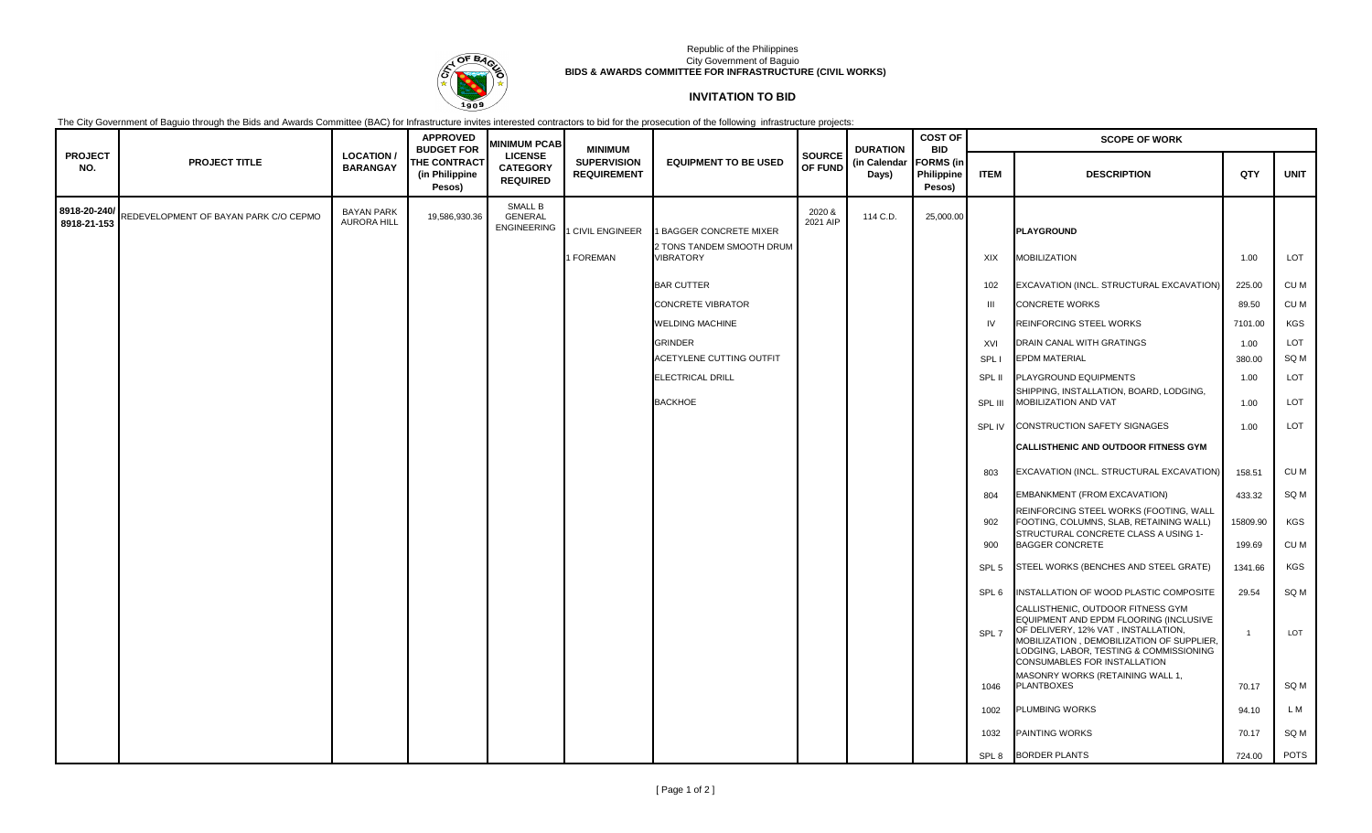

## Republic of the Philippines City Government of Baguio **BIDS & AWARDS COMMITTEE FOR INFRASTRUCTURE (CIVIL WORKS)**

## **INVITATION TO BID**

The City Government of Baguio through the Bids and Awards Committee (BAC) for Infrastructure invites interested contractors to bid for the prosecution of the following infrastructure projects:

|                             |                                       |                                         | <b>APPROVED</b><br><b>BUDGET FOR</b>            | <b>MINIMUM PCAB</b>                                  | <b>MINIMUM</b>                           |                                                      |                          | <b>DURATION</b>       | <b>COST OF</b><br><b>BID</b>             | <b>SCOPE OF WORK</b> |                                                                                                                                                                                                                                                                                |                |             |  |
|-----------------------------|---------------------------------------|-----------------------------------------|-------------------------------------------------|------------------------------------------------------|------------------------------------------|------------------------------------------------------|--------------------------|-----------------------|------------------------------------------|----------------------|--------------------------------------------------------------------------------------------------------------------------------------------------------------------------------------------------------------------------------------------------------------------------------|----------------|-------------|--|
| <b>PROJECT</b><br>NO.       | <b>PROJECT TITLE</b>                  | <b>LOCATION /</b><br><b>BARANGAY</b>    | <b>THE CONTRACT</b><br>(in Philippine<br>Pesos) | <b>LICENSE</b><br><b>CATEGORY</b><br><b>REQUIRED</b> | <b>SUPERVISION</b><br><b>REQUIREMENT</b> | <b>EQUIPMENT TO BE USED</b>                          | <b>SOURCE</b><br>OF FUND | (in Calendar<br>Days) | <b>FORMS</b> (in<br>Philippine<br>Pesos) | <b>ITEM</b>          | <b>DESCRIPTION</b>                                                                                                                                                                                                                                                             | QTY            | <b>UNIT</b> |  |
| 8918-20-240/<br>8918-21-153 | REDEVELOPMENT OF BAYAN PARK C/O CEPMO | <b>BAYAN PARK</b><br><b>AURORA HILL</b> | 19,586,930.36                                   | SMALL B<br><b>GENERAL</b><br><b>ENGINEERING</b>      | <b>CIVIL ENGINEER</b>                    | 1 BAGGER CONCRETE MIXER<br>2 TONS TANDEM SMOOTH DRUM | 2020 &<br>2021 AIP       | 114 C.D.              | 25,000.00                                |                      | <b>PLAYGROUND</b>                                                                                                                                                                                                                                                              |                |             |  |
|                             |                                       |                                         |                                                 |                                                      | <b>I FOREMAN</b>                         | VIBRATORY                                            |                          |                       |                                          | XIX                  | MOBILIZATION                                                                                                                                                                                                                                                                   | 1.00           | LOT         |  |
|                             |                                       |                                         |                                                 |                                                      |                                          | <b>BAR CUTTER</b>                                    |                          |                       |                                          | 102                  | EXCAVATION (INCL. STRUCTURAL EXCAVATION)                                                                                                                                                                                                                                       | 225.00         | CU M        |  |
|                             |                                       |                                         |                                                 |                                                      |                                          | <b>CONCRETE VIBRATOR</b>                             |                          |                       |                                          | $\mathbf{m}$         | <b>CONCRETE WORKS</b>                                                                                                                                                                                                                                                          | 89.50          | CU M        |  |
|                             |                                       |                                         |                                                 |                                                      |                                          | WELDING MACHINE                                      |                          |                       |                                          | <b>IV</b>            | REINFORCING STEEL WORKS                                                                                                                                                                                                                                                        | 7101.00        | <b>KGS</b>  |  |
|                             |                                       |                                         |                                                 |                                                      |                                          | <b>GRINDER</b>                                       |                          |                       |                                          | XVI                  | DRAIN CANAL WITH GRATINGS                                                                                                                                                                                                                                                      | 1.00           | LOT         |  |
|                             |                                       |                                         |                                                 |                                                      |                                          | ACETYLENE CUTTING OUTFIT                             |                          |                       |                                          | SPL I                | <b>EPDM MATERIAL</b>                                                                                                                                                                                                                                                           | 380.00         | SQ M        |  |
|                             |                                       |                                         |                                                 |                                                      |                                          | ELECTRICAL DRILL                                     |                          |                       |                                          | SPL II               | PLAYGROUND EQUIPMENTS                                                                                                                                                                                                                                                          | 1.00           | LOT         |  |
|                             |                                       |                                         |                                                 |                                                      |                                          | <b>BACKHOE</b>                                       |                          |                       |                                          | SPL III              | SHIPPING, INSTALLATION, BOARD, LODGING,<br>MOBILIZATION AND VAT                                                                                                                                                                                                                | 1.00           | <b>LOT</b>  |  |
|                             |                                       |                                         |                                                 |                                                      |                                          |                                                      |                          |                       |                                          | SPL IV               | <b>CONSTRUCTION SAFETY SIGNAGES</b>                                                                                                                                                                                                                                            | 1.00           | LOT         |  |
|                             |                                       |                                         |                                                 |                                                      |                                          |                                                      |                          |                       |                                          |                      | <b>CALLISTHENIC AND OUTDOOR FITNESS GYM</b>                                                                                                                                                                                                                                    |                |             |  |
|                             |                                       |                                         |                                                 |                                                      |                                          |                                                      |                          |                       |                                          | 803                  | EXCAVATION (INCL. STRUCTURAL EXCAVATION)                                                                                                                                                                                                                                       | 158.51         | CU M        |  |
|                             |                                       |                                         |                                                 |                                                      |                                          |                                                      |                          |                       |                                          | 804                  | EMBANKMENT (FROM EXCAVATION)                                                                                                                                                                                                                                                   | 433.32         | SQ M        |  |
|                             |                                       |                                         |                                                 |                                                      |                                          |                                                      |                          |                       |                                          | 902                  | REINFORCING STEEL WORKS (FOOTING, WALL<br>FOOTING, COLUMNS, SLAB, RETAINING WALL)                                                                                                                                                                                              | 15809.90       | <b>KGS</b>  |  |
|                             |                                       |                                         |                                                 |                                                      |                                          |                                                      |                          |                       |                                          | 900                  | STRUCTURAL CONCRETE CLASS A USING 1-<br><b>BAGGER CONCRETE</b>                                                                                                                                                                                                                 | 199.69         | CU M        |  |
|                             |                                       |                                         |                                                 |                                                      |                                          |                                                      |                          |                       |                                          | SPL <sub>5</sub>     | STEEL WORKS (BENCHES AND STEEL GRATE)                                                                                                                                                                                                                                          | 1341.66        | <b>KGS</b>  |  |
|                             |                                       |                                         |                                                 |                                                      |                                          |                                                      |                          |                       |                                          | SPL 6                | INSTALLATION OF WOOD PLASTIC COMPOSITE                                                                                                                                                                                                                                         | 29.54          | SQ M        |  |
|                             |                                       |                                         |                                                 |                                                      |                                          |                                                      |                          |                       |                                          | SPL 7                | CALLISTHENIC, OUTDOOR FITNESS GYM<br>EQUIPMENT AND EPDM FLOORING (INCLUSIVE<br>OF DELIVERY, 12% VAT, INSTALLATION,<br>MOBILIZATION, DEMOBILIZATION OF SUPPLIER,<br>LODGING, LABOR, TESTING & COMMISSIONING<br>CONSUMABLES FOR INSTALLATION<br>MASONRY WORKS (RETAINING WALL 1, | $\overline{1}$ | LOT         |  |
|                             |                                       |                                         |                                                 |                                                      |                                          |                                                      |                          |                       |                                          | 1046                 | <b>PLANTBOXES</b>                                                                                                                                                                                                                                                              | 70.17          | SQ M        |  |
|                             |                                       |                                         |                                                 |                                                      |                                          |                                                      |                          |                       |                                          | 1002                 | PLUMBING WORKS                                                                                                                                                                                                                                                                 | 94.10          | L M         |  |
|                             |                                       |                                         |                                                 |                                                      |                                          |                                                      |                          |                       |                                          | 1032                 | PAINTING WORKS                                                                                                                                                                                                                                                                 | 70.17          | SQ M        |  |
|                             |                                       |                                         |                                                 |                                                      |                                          |                                                      |                          |                       |                                          |                      | SPL 8 BORDER PLANTS                                                                                                                                                                                                                                                            | 724.00         | <b>POTS</b> |  |